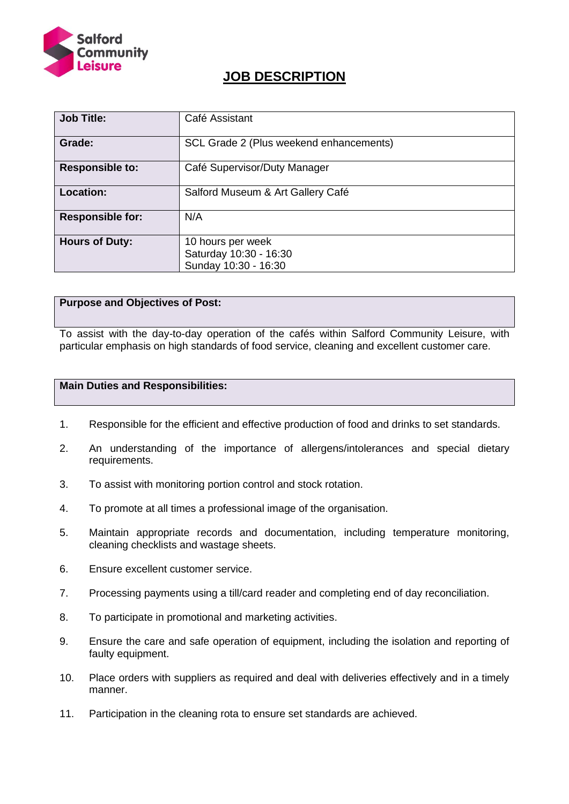

# **JOB DESCRIPTION**

| <b>Job Title:</b>       | Café Assistant                                                      |  |  |
|-------------------------|---------------------------------------------------------------------|--|--|
| Grade:                  | SCL Grade 2 (Plus weekend enhancements)                             |  |  |
| <b>Responsible to:</b>  | Café Supervisor/Duty Manager                                        |  |  |
| <b>Location:</b>        | Salford Museum & Art Gallery Café                                   |  |  |
| <b>Responsible for:</b> | N/A                                                                 |  |  |
| <b>Hours of Duty:</b>   | 10 hours per week<br>Saturday 10:30 - 16:30<br>Sunday 10:30 - 16:30 |  |  |

### **Purpose and Objectives of Post:**

To assist with the day-to-day operation of the cafés within Salford Community Leisure, with particular emphasis on high standards of food service, cleaning and excellent customer care.

#### **Main Duties and Responsibilities:**

- 1. Responsible for the efficient and effective production of food and drinks to set standards.
- 2. An understanding of the importance of allergens/intolerances and special dietary requirements.
- 3. To assist with monitoring portion control and stock rotation.
- 4. To promote at all times a professional image of the organisation.
- 5. Maintain appropriate records and documentation, including temperature monitoring, cleaning checklists and wastage sheets.
- 6. Ensure excellent customer service.
- 7. Processing payments using a till/card reader and completing end of day reconciliation.
- 8. To participate in promotional and marketing activities.
- 9. Ensure the care and safe operation of equipment, including the isolation and reporting of faulty equipment.
- 10. Place orders with suppliers as required and deal with deliveries effectively and in a timely manner.
- 11. Participation in the cleaning rota to ensure set standards are achieved.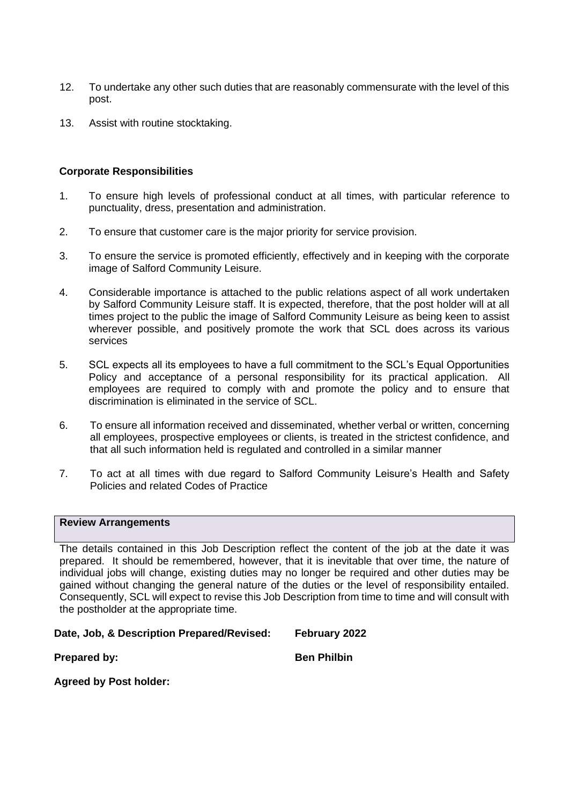- 12. To undertake any other such duties that are reasonably commensurate with the level of this post.
- 13. Assist with routine stocktaking.

#### **Corporate Responsibilities**

- 1. To ensure high levels of professional conduct at all times, with particular reference to punctuality, dress, presentation and administration.
- 2. To ensure that customer care is the major priority for service provision.
- 3. To ensure the service is promoted efficiently, effectively and in keeping with the corporate image of Salford Community Leisure.
- 4. Considerable importance is attached to the public relations aspect of all work undertaken by Salford Community Leisure staff. It is expected, therefore, that the post holder will at all times project to the public the image of Salford Community Leisure as being keen to assist wherever possible, and positively promote the work that SCL does across its various services
- 5. SCL expects all its employees to have a full commitment to the SCL's Equal Opportunities Policy and acceptance of a personal responsibility for its practical application. All employees are required to comply with and promote the policy and to ensure that discrimination is eliminated in the service of SCL.
- 6. To ensure all information received and disseminated, whether verbal or written, concerning all employees, prospective employees or clients, is treated in the strictest confidence, and that all such information held is regulated and controlled in a similar manner
- 7. To act at all times with due regard to Salford Community Leisure's Health and Safety Policies and related Codes of Practice

#### **Review Arrangements**

The details contained in this Job Description reflect the content of the job at the date it was prepared. It should be remembered, however, that it is inevitable that over time, the nature of individual jobs will change, existing duties may no longer be required and other duties may be gained without changing the general nature of the duties or the level of responsibility entailed. Consequently, SCL will expect to revise this Job Description from time to time and will consult with the postholder at the appropriate time.

### **Date, Job, & Description Prepared/Revised: February 2022**

**Prepared by: Ben Philbin** 

**Agreed by Post holder:**